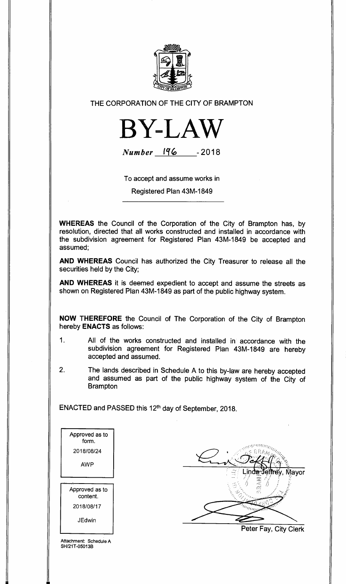

THE CORPORATION OF THE CITY OF BRAMPTON



**Number I% -2018** 

To accept and assume works in

Registered Plan 43M-1849

**WHEREAS** the Council of the Corporation of the City of Brampton has, by resolution, directed that all works constructed and installed in accordance with the subdivision agreement for Registered Plan 43M-1849 be accepted and assumed;

**AND WHEREAS** Council has authorized the City Treasurer to release all the securities held by the City;

**AND WHEREAS** it is deemed expedient to accept and assume the streets as shown on Registered Plan 43M-1849 as part of the public highway system.

**NOW THEREFORE** the Council of The Corporation of the City of Brampton hereby **ENACTS** as follows:

- 1. All of the works constructed and installed in accordance with the subdivision agreement for Registered Plan 43M-1849 are hereby accepted and assumed.
- 2. The lands described in Schedule A to this by-law are hereby accepted and assumed as part of the public highway system of the City of **Brampton**

ENACTED and PASSED this 12th day of September, 2018.

| Approved as to<br>form.    |
|----------------------------|
| 2018/08/24                 |
| AWP                        |
| Approved as to<br>content. |
| 2018/08/17                 |
|                            |

Mayor AM

Peter Fay, City Clerk

Attachment: Schedule A SH/21T-05013B